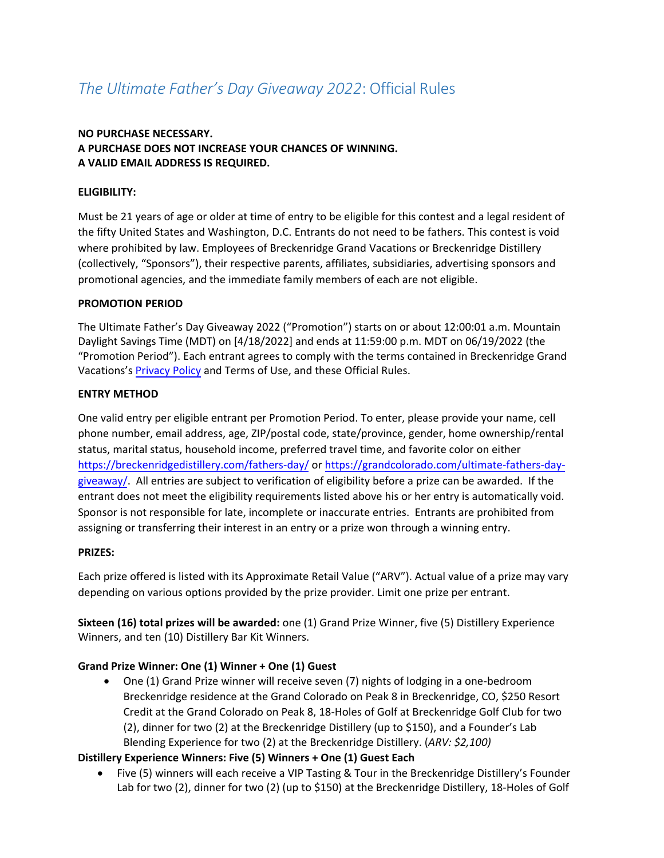# *The Ultimate Father's Day Giveaway 2022*: Official Rules

# **NO PURCHASE NECESSARY. A PURCHASE DOES NOT INCREASE YOUR CHANCES OF WINNING. A VALID EMAIL ADDRESS IS REQUIRED.**

### **ELIGIBILITY:**

Must be 21 years of age or older at time of entry to be eligible for this contest and a legal resident of the fifty United States and Washington, D.C. Entrants do not need to be fathers. This contest is void where prohibited by law. Employees of Breckenridge Grand Vacations or Breckenridge Distillery (collectively, "Sponsors"), their respective parents, affiliates, subsidiaries, advertising sponsors and promotional agencies, and the immediate family members of each are not eligible.

#### **PROMOTION PERIOD**

The Ultimate Father's Day Giveaway 2022 ("Promotion") starts on or about 12:00:01 a.m. Mountain Daylight Savings Time (MDT) on [4/18/2022] and ends at 11:59:00 p.m. MDT on 06/19/2022 (the "Promotion Period"). Each entrant agrees to comply with the terms contained in Breckenridge Grand Vacations's [Privacy Policy](https://breckenridgegrandvacations.com/privacy-policy-2/) and Terms of Use, and these Official Rules.

#### **ENTRY METHOD**

One valid entry per eligible entrant per Promotion Period. To enter, please provide your name, cell phone number, email address, age, ZIP/postal code, state/province, gender, home ownership/rental status, marital status, household income, preferred travel time, and favorite color on either <https://breckenridgedistillery.com/fathers-day/> or [https://grandcolorado.com/ultimate-fathers-day](https://grandcolorado.com/ultimate-fathers-day-giveaway/)[giveaway/.](https://grandcolorado.com/ultimate-fathers-day-giveaway/) All entries are subject to verification of eligibility before a prize can be awarded. If the entrant does not meet the eligibility requirements listed above his or her entry is automatically void. Sponsor is not responsible for late, incomplete or inaccurate entries. Entrants are prohibited from assigning or transferring their interest in an entry or a prize won through a winning entry.

#### **PRIZES:**

Each prize offered is listed with its Approximate Retail Value ("ARV"). Actual value of a prize may vary depending on various options provided by the prize provider. Limit one prize per entrant.

**Sixteen (16) total prizes will be awarded:** one (1) Grand Prize Winner, five (5) Distillery Experience Winners, and ten (10) Distillery Bar Kit Winners.

# **Grand Prize Winner: One (1) Winner + One (1) Guest**

• One (1) Grand Prize winner will receive seven (7) nights of lodging in a one-bedroom Breckenridge residence at the Grand Colorado on Peak 8 in Breckenridge, CO, \$250 Resort Credit at the Grand Colorado on Peak 8, 18-Holes of Golf at Breckenridge Golf Club for two (2), dinner for two (2) at the Breckenridge Distillery (up to \$150), and a Founder's Lab Blending Experience for two (2) at the Breckenridge Distillery. (*ARV: \$2,100)*

# **Distillery Experience Winners: Five (5) Winners + One (1) Guest Each**

• Five (5) winners will each receive a VIP Tasting & Tour in the Breckenridge Distillery's Founder Lab for two (2), dinner for two (2) (up to \$150) at the Breckenridge Distillery, 18-Holes of Golf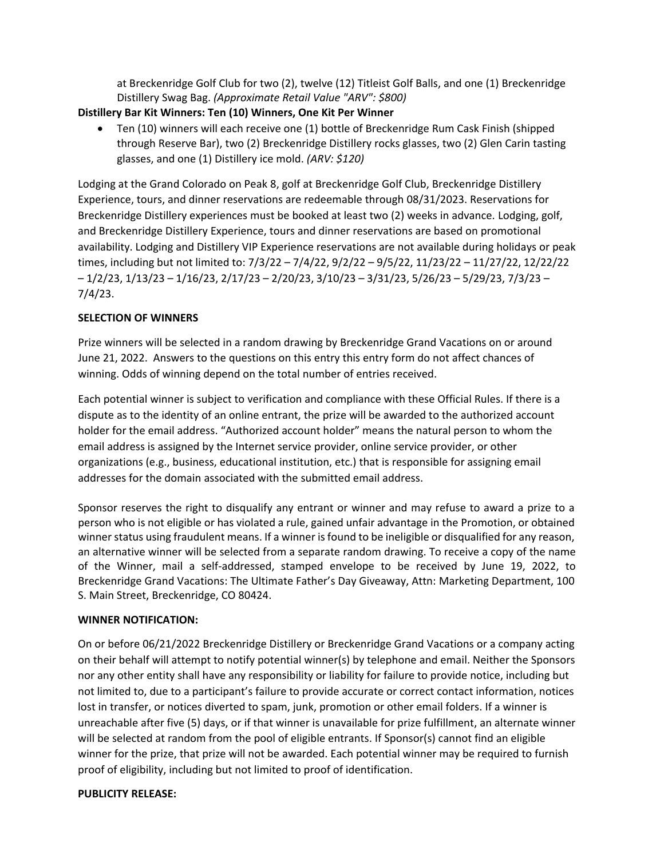at Breckenridge Golf Club for two (2), twelve (12) Titleist Golf Balls, and one (1) Breckenridge Distillery Swag Bag. *(Approximate Retail Value "ARV": \$800)*

# **Distillery Bar Kit Winners: Ten (10) Winners, One Kit Per Winner**

• Ten (10) winners will each receive one (1) bottle of Breckenridge Rum Cask Finish (shipped through Reserve Bar), two (2) Breckenridge Distillery rocks glasses, two (2) Glen Carin tasting glasses, and one (1) Distillery ice mold. *(ARV: \$120)*

Lodging at the Grand Colorado on Peak 8, golf at Breckenridge Golf Club, Breckenridge Distillery Experience, tours, and dinner reservations are redeemable through 08/31/2023. Reservations for Breckenridge Distillery experiences must be booked at least two (2) weeks in advance. Lodging, golf, and Breckenridge Distillery Experience, tours and dinner reservations are based on promotional availability. Lodging and Distillery VIP Experience reservations are not available during holidays or peak times, including but not limited to: 7/3/22 – 7/4/22, 9/2/22 – 9/5/22, 11/23/22 – 11/27/22, 12/22/22 – 1/2/23, 1/13/23 – 1/16/23, 2/17/23 – 2/20/23, 3/10/23 – 3/31/23, 5/26/23 – 5/29/23, 7/3/23 – 7/4/23.

# **SELECTION OF WINNERS**

Prize winners will be selected in a random drawing by Breckenridge Grand Vacations on or around June 21, 2022. Answers to the questions on this entry this entry form do not affect chances of winning. Odds of winning depend on the total number of entries received.

Each potential winner is subject to verification and compliance with these Official Rules. If there is a dispute as to the identity of an online entrant, the prize will be awarded to the authorized account holder for the email address. "Authorized account holder" means the natural person to whom the email address is assigned by the Internet service provider, online service provider, or other organizations (e.g., business, educational institution, etc.) that is responsible for assigning email addresses for the domain associated with the submitted email address.

Sponsor reserves the right to disqualify any entrant or winner and may refuse to award a prize to a person who is not eligible or has violated a rule, gained unfair advantage in the Promotion, or obtained winner status using fraudulent means. If a winner is found to be ineligible or disqualified for any reason, an alternative winner will be selected from a separate random drawing. To receive a copy of the name of the Winner, mail a self-addressed, stamped envelope to be received by June 19, 2022, to Breckenridge Grand Vacations: The Ultimate Father's Day Giveaway, Attn: Marketing Department, 100 S. Main Street, Breckenridge, CO 80424.

# **WINNER NOTIFICATION:**

On or before 06/21/2022 Breckenridge Distillery or Breckenridge Grand Vacations or a company acting on their behalf will attempt to notify potential winner(s) by telephone and email. Neither the Sponsors nor any other entity shall have any responsibility or liability for failure to provide notice, including but not limited to, due to a participant's failure to provide accurate or correct contact information, notices lost in transfer, or notices diverted to spam, junk, promotion or other email folders. If a winner is unreachable after five (5) days, or if that winner is unavailable for prize fulfillment, an alternate winner will be selected at random from the pool of eligible entrants. If Sponsor(s) cannot find an eligible winner for the prize, that prize will not be awarded. Each potential winner may be required to furnish proof of eligibility, including but not limited to proof of identification.

# **PUBLICITY RELEASE:**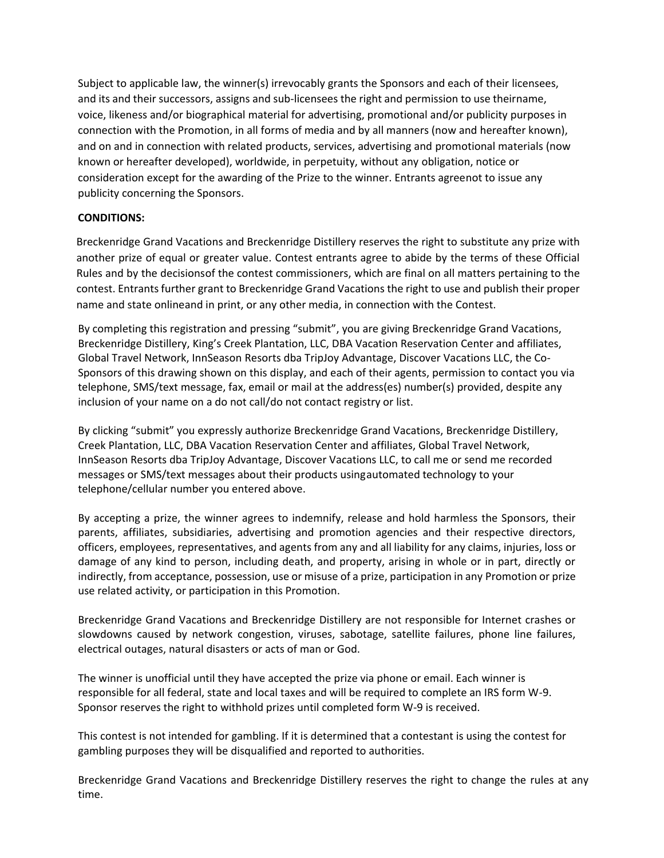Subject to applicable law, the winner(s) irrevocably grants the Sponsors and each of their licensees, and its and their successors, assigns and sub-licensees the right and permission to use theirname, voice, likeness and/or biographical material for advertising, promotional and/or publicity purposes in connection with the Promotion, in all forms of media and by all manners (now and hereafter known), and on and in connection with related products, services, advertising and promotional materials (now known or hereafter developed), worldwide, in perpetuity, without any obligation, notice or consideration except for the awarding of the Prize to the winner. Entrants agreenot to issue any publicity concerning the Sponsors.

### **CONDITIONS:**

Breckenridge Grand Vacations and Breckenridge Distillery reserves the right to substitute any prize with another prize of equal or greater value. Contest entrants agree to abide by the terms of these Official Rules and by the decisionsof the contest commissioners, which are final on all matters pertaining to the contest. Entrantsfurther grant to Breckenridge Grand Vacations the right to use and publish their proper name and state onlineand in print, or any other media, in connection with the Contest.

By completing this registration and pressing "submit", you are giving Breckenridge Grand Vacations, Breckenridge Distillery, King's Creek Plantation, LLC, DBA Vacation Reservation Center and affiliates, Global Travel Network, InnSeason Resorts dba TripJoy Advantage, Discover Vacations LLC, the Co-Sponsors of this drawing shown on this display, and each of their agents, permission to contact you via telephone, SMS/text message, fax, email or mail at the address(es) number(s) provided, despite any inclusion of your name on a do not call/do not contact registry or list.

By clicking "submit" you expressly authorize Breckenridge Grand Vacations, Breckenridge Distillery, Creek Plantation, LLC, DBA Vacation Reservation Center and affiliates, Global Travel Network, InnSeason Resorts dba TripJoy Advantage, Discover Vacations LLC, to call me or send me recorded messages or SMS/text messages about their products using automated technology to your telephone/cellular number you entered above.

By accepting a prize, the winner agrees to indemnify, release and hold harmless the Sponsors, their parents, affiliates, subsidiaries, advertising and promotion agencies and their respective directors, officers, employees, representatives, and agents from any and all liability for any claims, injuries, loss or damage of any kind to person, including death, and property, arising in whole or in part, directly or indirectly, from acceptance, possession, use or misuse of a prize, participation in any Promotion or prize use related activity, or participation in this Promotion.

Breckenridge Grand Vacations and Breckenridge Distillery are not responsible for Internet crashes or slowdowns caused by network congestion, viruses, sabotage, satellite failures, phone line failures, electrical outages, natural disasters or acts of man or God.

The winner is unofficial until they have accepted the prize via phone or email. Each winner is responsible for all federal, state and local taxes and will be required to complete an IRS form W-9. Sponsor reserves the right to withhold prizes until completed form W-9 is received.

This contest is not intended for gambling. If it is determined that a contestant is using the contest for gambling purposes they will be disqualified and reported to authorities.

Breckenridge Grand Vacations and Breckenridge Distillery reserves the right to change the rules at any time.